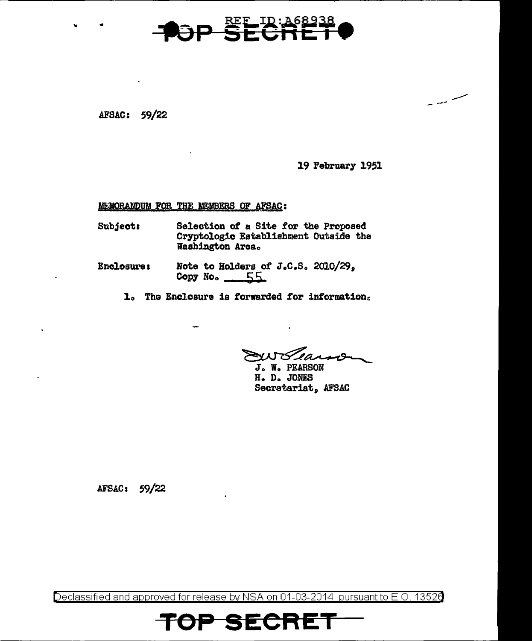

AFSAC: 59/22

19 February 1951

سے سب یہ

MEMORANDUM FOR THE MEMBERS OF AFSAC:

- **Subject:** Selection of a Site for the Proposed Cryptologic Establishment Outside the Washington Area.
- **Enclosure:** Note to Holders of J.C.S. 2010/29, Copy No. 55
	- 1. The Enclosure is forwarded for information.

FW Learner

J. W. PEARSON H. D. JONES Secretariat, AFSAC

AFSAC: 59/22

Declassified and approved for release by NSA on 01-03-2014 pursuant to E.O. 13526

SECRI

E. I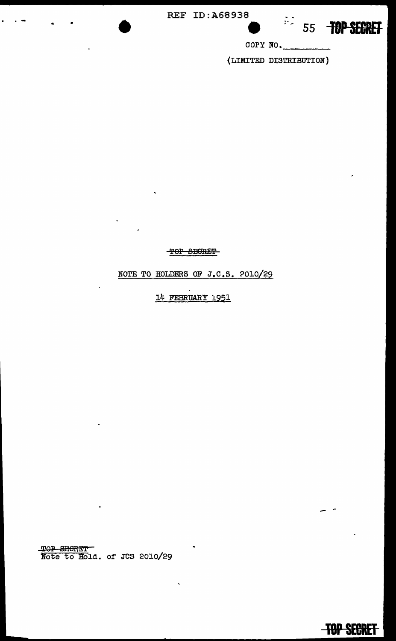**REF ID: A68938** 



**TOP SECRET** 

COPY NO.

(LIMITED DISTRIBUTION)

TOP SECRET

NOTE TO HOLDERS OF J.C.S. 2010/29

14 FEBRUARY 1951

TOP SHORET<br>Note to Hold. of JCS 2010/29